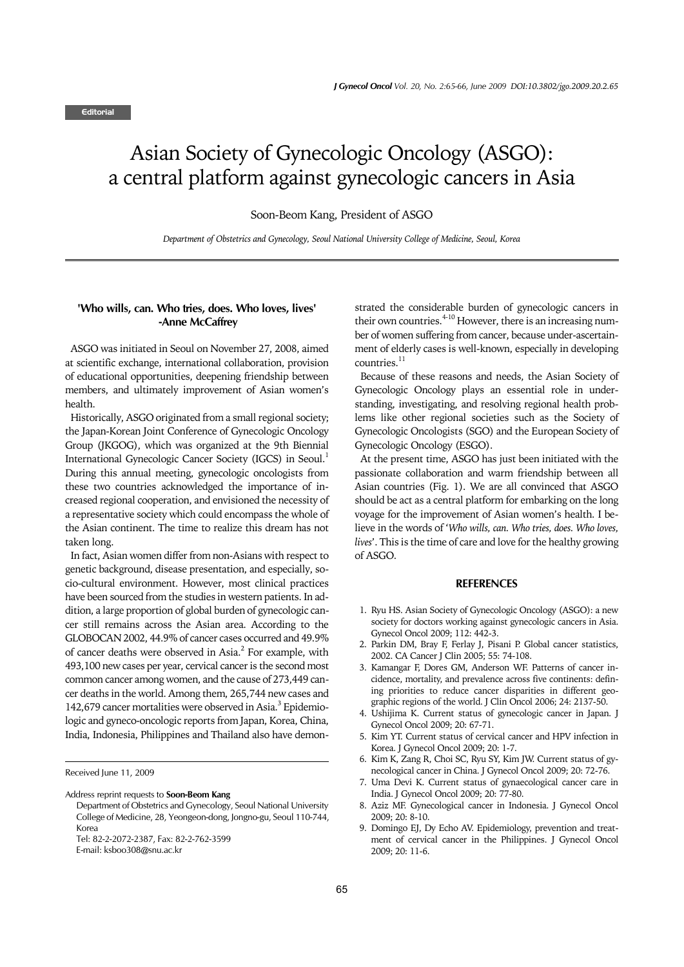## Asian Society of Gynecologic Oncology (ASGO): a central platform against gynecologic cancers in Asia

Soon-Beom Kang, President of ASGO

*Department of Obstetrics and Gynecology, Seoul National University College of Medicine, Seoul, Korea*

## **'Who wills, can. Who tries, does. Who loves, lives' -Anne McCaffrey**

 ASGO was initiated in Seoul on November 27, 2008, aimed at scientific exchange, international collaboration, provision of educational opportunities, deepening friendship between members, and ultimately improvement of Asian women's health.

 Historically, ASGO originated from a small regional society; the Japan-Korean Joint Conference of Gynecologic Oncology Group (JKGOG), which was organized at the 9th Biennial International Gynecologic Cancer Society (IGCS) in Seoul.<sup>1</sup> During this annual meeting, gynecologic oncologists from these two countries acknowledged the importance of increased regional cooperation, and envisioned the necessity of a representative society which could encompass the whole of the Asian continent. The time to realize this dream has not taken long.

 In fact, Asian women differ from non-Asians with respect to genetic background, disease presentation, and especially, socio-cultural environment. However, most clinical practices have been sourced from the studies in western patients. In addition, a large proportion of global burden of gynecologic cancer still remains across the Asian area. According to the GLOBOCAN 2002, 44.9% of cancer cases occurred and 49.9% of cancer deaths were observed in Asia.<sup>2</sup> For example, with 493,100 new cases per year, cervical cancer is the second most common cancer among women, and the cause of 273,449 cancer deaths in the world. Among them, 265,744 new cases and 142,679 cancer mortalities were observed in Asia.<sup>3</sup> Epidemiologic and gyneco-oncologic reports from Japan, Korea, China, India, Indonesia, Philippines and Thailand also have demon-

Received June 11, 2009

Address reprint requests to **Soon-Beom Kang**

Department of Obstetrics and Gynecology, Seoul National University College of Medicine, 28, Yeongeon-dong, Jongno-gu, Seoul 110-744, Korea

strated the considerable burden of gynecologic cancers in their own countries.  $4-10$  However, there is an increasing number of women suffering from cancer, because under-ascertainment of elderly cases is well-known, especially in developing  $countries$ <sup>11</sup>

 Because of these reasons and needs, the Asian Society of Gynecologic Oncology plays an essential role in understanding, investigating, and resolving regional health problems like other regional societies such as the Society of Gynecologic Oncologists (SGO) and the European Society of Gynecologic Oncology (ESGO).

 At the present time, ASGO has just been initiated with the passionate collaboration and warm friendship between all Asian countries (Fig. 1). We are all convinced that ASGO should be act as a central platform for embarking on the long voyage for the improvement of Asian women's health. I believe in the words of '*Who wills, can. Who tries, does. Who loves, lives*'. This is the time of care and love for the healthy growing of ASGO.

## **REFERENCES**

- 1. Ryu HS. Asian Society of Gynecologic Oncology (ASGO): a new society for doctors working against gynecologic cancers in Asia. Gynecol Oncol 2009; 112: 442-3.
- 2. Parkin DM, Bray F, Ferlay J, Pisani P. Global cancer statistics, 2002. CA Cancer J Clin 2005; 55: 74-108.
- 3. Kamangar F, Dores GM, Anderson WF. Patterns of cancer incidence, mortality, and prevalence across five continents: defining priorities to reduce cancer disparities in different geographic regions of the world. J Clin Oncol 2006; 24: 2137-50.
- 4. Ushijima K. Current status of gynecologic cancer in Japan. J Gynecol Oncol 2009; 20: 67-71.
- 5. Kim YT. Current status of cervical cancer and HPV infection in Korea. J Gynecol Oncol 2009; 20: 1-7.
- 6. Kim K, Zang R, Choi SC, Ryu SY, Kim JW. Current status of gynecological cancer in China. J Gynecol Oncol 2009; 20: 72-76.
- 7. Uma Devi K. Current status of gynaecological cancer care in India. J Gynecol Oncol 2009; 20: 77-80.
- Aziz MF. Gynecological cancer in Indonesia. J Gynecol Oncol 2009; 20: 8-10.
- 9. Domingo EJ, Dy Echo AV. Epidemiology, prevention and treatment of cervical cancer in the Philippines. J Gynecol Oncol 2009; 20: 11-6.

Tel: 82-2-2072-2387, Fax: 82-2-762-3599

E-mail: ksboo308@snu.ac.kr